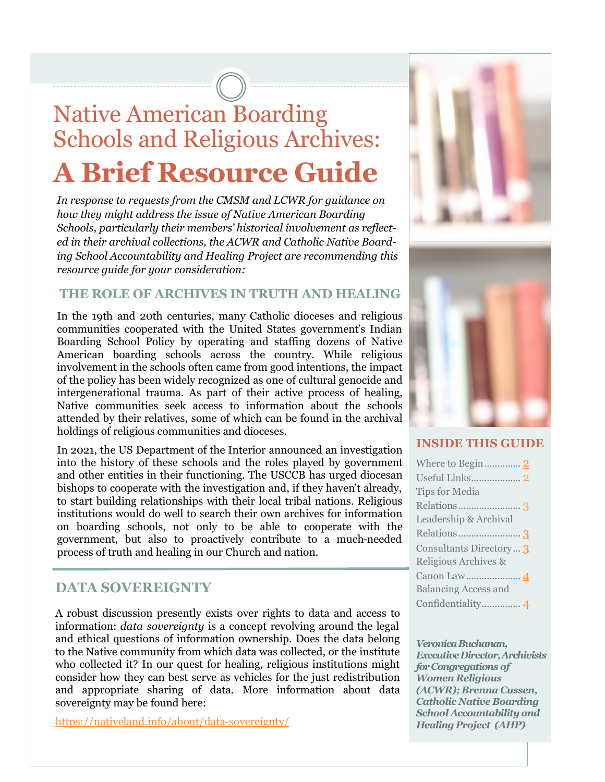# Native American Boarding Schools and Religious Archives: **A Brief Resource Guide**

*In response to requests from the CMSM and LCWR for guidance on how they might address the issue of Native American Boarding Schools, particularly their members' historical involvement as reflected in their archival collections, the ACWR and Catholic Native Boarding School Accountability and Healing Project are recommending this resource guide for your consideration:* 

### **THE ROLE OF ARCHIVES IN TRUTH AND HEALING**

In the 19th and 20th centuries, many Catholic dioceses and religious communities cooperated with the United States government's Indian Boarding School Policy by operating and staffing dozens of Native American boarding schools across the country. While religious involvement in the schools often came from good intentions, the impact of the policy has been widely recognized as one of cultural genocide and intergenerational trauma. As part of their active process of healing, Native communities seek access to information about the schools attended by their relatives, some of which can be found in the archival holdings of religious communities and dioceses.

In 2021, the US Department of the Interior announced an investigation into the history of these schools and the roles played by government and other entities in their functioning. The USCCB has urged diocesan bishops to cooperate with the investigation and, if they haven't already, to start building relationships with their local tribal nations. Religious institutions would do well to search their own archives for information on boarding schools, not only to be able to cooperate with the government, but also to proactively contribute to a much-needed process of truth and healing in our Church and nation.

### **DATA SOVEREIGNTY**

A robust discussion presently exists over rights to data and access to information: *data sovereignty* is a concept revolving around the legal and ethical questions of information ownership. Does the data belong to the Native community from which data was collected, or the institute who collected it? In our quest for healing, religious institutions might consider how they can best serve as vehicles for the just redistribution and appropriate sharing of data. More information about data sovereignty may be found here:

[https://nativeland.info/about/data](https://nativeland.info/about/data-sovereignty/)-sovereignty/





### **INSIDE THIS GUIDE**

| <b>Tips for Media</b>       |
|-----------------------------|
| Relations3                  |
| Leadership & Archival       |
| Relations3                  |
| Consultants Directory 3     |
| Religious Archives &        |
|                             |
| <b>Balancing Access and</b> |
| Confidentiality 4           |

*Veronica Buchanan, Executive Director, Archivists forCongregations of Women Religious (ACWR); Brenna Cussen, Catholic Native Boarding School Accountability and Healing Project (AHP)*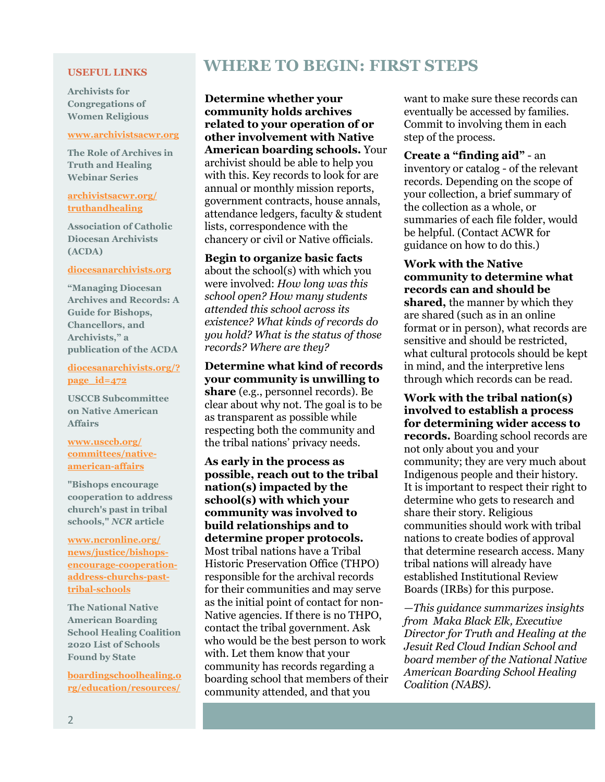#### <span id="page-1-0"></span>**USEFUL LINKS**

**Archivists for Congregations of Women Religious**

#### **[www.archivistsacwr.org](http://www.archivistsacwr.org)**

**The Role of Archives in Truth and Healing Webinar Series**

#### **[archivistsacwr.org/](https://archivistsacwr.org/truthandhealing/) [truthandhealing](https://archivistsacwr.org/truthandhealing/)**

**Association of Catholic Diocesan Archivists (ACDA)**

#### **[diocesanarchivists.org](https://diocesanarchivists.org/)**

**"Managing Diocesan Archives and Records: A Guide for Bishops, Chancellors, and Archivists," a publication of the ACDA**

### **diocesanarchivists.org/? page\_id=472**

**USCCB Subcommittee on Native American Affairs**

### **[www.usccb.org/](https://www.usccb.org/committees/native-american-affairs) [committees/native](https://www.usccb.org/committees/native-american-affairs)[american](https://www.usccb.org/committees/native-american-affairs)-affairs**

**"Bishops encourage cooperation to address church's past in tribal schools,"** *NCR* **article**

**[www.ncronline.org/](https://www.ncronline.org/news/justice/bishops-encourage-cooperation-address-churchs-past-tribal-schools) [news/justice/bishops](https://www.ncronline.org/news/justice/bishops-encourage-cooperation-address-churchs-past-tribal-schools)encourage-[cooperation](https://www.ncronline.org/news/justice/bishops-encourage-cooperation-address-churchs-past-tribal-schools)address-[churchs](https://www.ncronline.org/news/justice/bishops-encourage-cooperation-address-churchs-past-tribal-schools)-pasttribal-[schools](https://www.ncronline.org/news/justice/bishops-encourage-cooperation-address-churchs-past-tribal-schools)**

**The National Native American Boarding School Healing Coalition 2020 List of Schools Found by State**

**[boardingschoolhealing.o](https://boardingschoolhealing.org/education/resources/) [rg/education/resources/](https://boardingschoolhealing.org/education/resources/)**

## **WHERE TO BEGIN: FIRST STEPS**

**Determine whether your community holds archives related to your operation of or other involvement with Native American boarding schools.** Your archivist should be able to help you with this. Key records to look for are annual or monthly mission reports, government contracts, house annals, attendance ledgers, faculty & student lists, correspondence with the chancery or civil or Native officials.

**Begin to organize basic facts**  about the school(s) with which you were involved: *How long was this school open? How many students attended this school across its existence? What kinds of records do you hold? What is the status of those records? Where are they?* 

**Determine what kind of records your community is unwilling to share** (e.g., personnel records). Be clear about why not. The goal is to be as transparent as possible while respecting both the community and the tribal nations' privacy needs.

**As early in the process as possible, reach out to the tribal nation(s) impacted by the school(s) with which your community was involved to build relationships and to determine proper protocols.**  Most tribal nations have a Tribal Historic Preservation Office (THPO) responsible for the archival records for their communities and may serve as the initial point of contact for non-Native agencies. If there is no THPO, contact the tribal government. Ask who would be the best person to work with. Let them know that your community has records regarding a boarding school that members of their community attended, and that you

want to make sure these records can eventually be accessed by families. Commit to involving them in each step of the process.

**Create a "finding aid"** - an inventory or catalog - of the relevant records. Depending on the scope of your collection, a brief summary of the collection as a whole, or summaries of each file folder, would be helpful. (Contact ACWR for guidance on how to do this.)

**Work with the Native community to determine what records can and should be shared,** the manner by which they are shared (such as in an online format or in person), what records are sensitive and should be restricted, what cultural protocols should be kept in mind, and the interpretive lens through which records can be read.

**Work with the tribal nation(s) involved to establish a process for determining wider access to records.** Boarding school records are not only about you and your community; they are very much about Indigenous people and their history. It is important to respect their right to determine who gets to research and share their story. Religious communities should work with tribal nations to create bodies of approval that determine research access. Many tribal nations will already have established Institutional Review Boards (IRBs) for this purpose.

*—This guidance summarizes insights from Maka Black Elk, Executive Director for Truth and Healing at the Jesuit Red Cloud Indian School and board member of the National Native American Boarding School Healing Coalition (NABS).*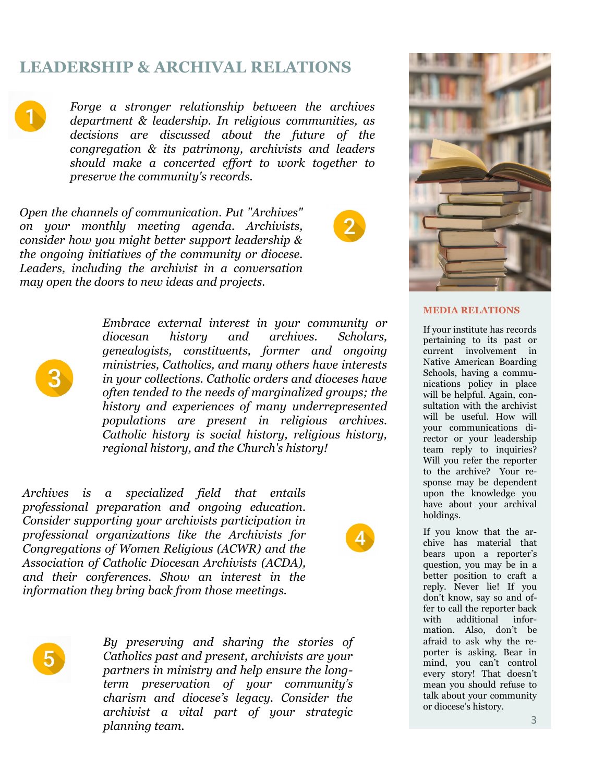### <span id="page-2-0"></span>**LEADERSHIP & ARCHIVAL RELATIONS**



*Forge a stronger relationship between the archives department & leadership. In religious communities, as decisions are discussed about the future of the congregation & its patrimony, archivists and leaders should make a concerted effort to work together to preserve the community's records.*

*Open the channels of communication. Put "Archives" on your monthly meeting agenda. Archivists, consider how you might better support leadership & the ongoing initiatives of the community or diocese. Leaders, including the archivist in a conversation may open the doors to new ideas and projects.* 





*Embrace external interest in your community or diocesan history and archives. Scholars, genealogists, constituents, former and ongoing ministries, Catholics, and many others have interests in your collections. Catholic orders and dioceses have often tended to the needs of marginalized groups; the history and experiences of many underrepresented populations are present in religious archives. Catholic history is social history, religious history, regional history, and the Church's history!*

*Archives is a specialized field that entails professional preparation and ongoing education. Consider supporting your archivists participation in professional organizations like the Archivists for Congregations of Women Religious (ACWR) and the Association of Catholic Diocesan Archivists (ACDA), and their conferences. Show an interest in the information they bring back from those meetings.*



*By preserving and sharing the stories of Catholics past and present, archivists are your partners in ministry and help ensure the longterm preservation of your community's charism and diocese's legacy. Consider the archivist a vital part of your strategic planning team.*



### **MEDIA RELATIONS**

If your institute has records pertaining to its past or current involvement in Native American Boarding Schools, having a communications policy in place will be helpful. Again, consultation with the archivist will be useful. How will your communications director or your leadership team reply to inquiries? Will you refer the reporter to the archive? Your response may be dependent upon the knowledge you have about your archival holdings.

If you know that the archive has material that bears upon a reporter's question, you may be in a better position to craft a reply. Never lie! If you don't know, say so and offer to call the reporter back with additional information. Also, don't be afraid to ask why the reporter is asking. Bear in mind, you can't control every story! That doesn't mean you should refuse to talk about your community or diocese's history.